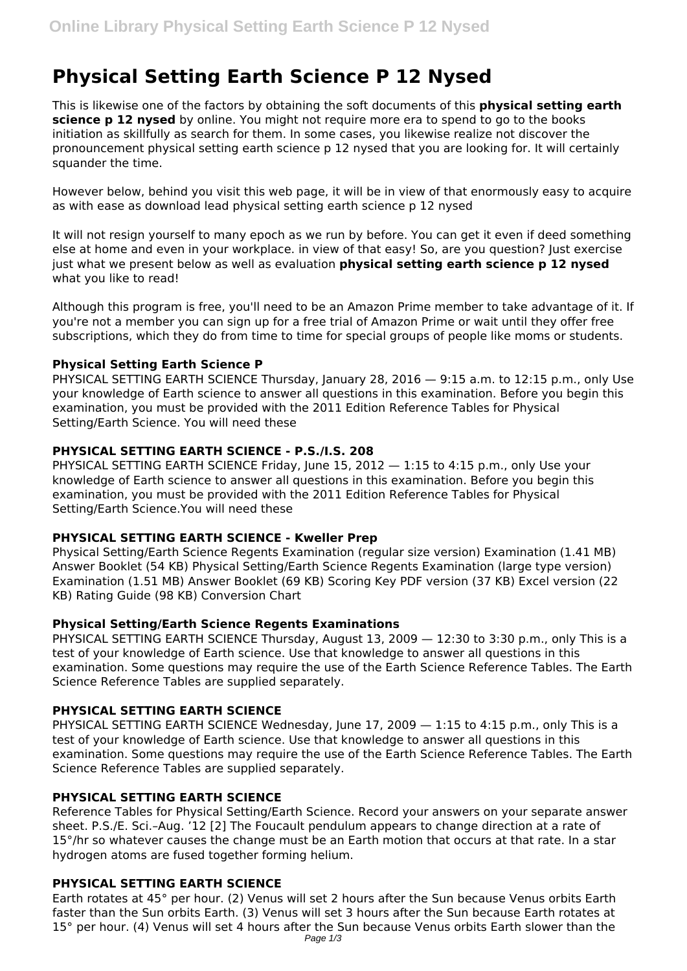# **Physical Setting Earth Science P 12 Nysed**

This is likewise one of the factors by obtaining the soft documents of this **physical setting earth science p 12 nysed** by online. You might not require more era to spend to go to the books initiation as skillfully as search for them. In some cases, you likewise realize not discover the pronouncement physical setting earth science p 12 nysed that you are looking for. It will certainly squander the time.

However below, behind you visit this web page, it will be in view of that enormously easy to acquire as with ease as download lead physical setting earth science p 12 nysed

It will not resign yourself to many epoch as we run by before. You can get it even if deed something else at home and even in your workplace. in view of that easy! So, are you question? Just exercise just what we present below as well as evaluation **physical setting earth science p 12 nysed** what you like to read!

Although this program is free, you'll need to be an Amazon Prime member to take advantage of it. If you're not a member you can sign up for a free trial of Amazon Prime or wait until they offer free subscriptions, which they do from time to time for special groups of people like moms or students.

## **Physical Setting Earth Science P**

PHYSICAL SETTING EARTH SCIENCE Thursday, January 28, 2016 - 9:15 a.m. to 12:15 p.m., only Use your knowledge of Earth science to answer all questions in this examination. Before you begin this examination, you must be provided with the 2011 Edition Reference Tables for Physical Setting/Earth Science. You will need these

## **PHYSICAL SETTING EARTH SCIENCE - P.S./I.S. 208**

PHYSICAL SETTING EARTH SCIENCE Friday, June 15, 2012 — 1:15 to 4:15 p.m., only Use your knowledge of Earth science to answer all questions in this examination. Before you begin this examination, you must be provided with the 2011 Edition Reference Tables for Physical Setting/Earth Science.You will need these

## **PHYSICAL SETTING EARTH SCIENCE - Kweller Prep**

Physical Setting/Earth Science Regents Examination (regular size version) Examination (1.41 MB) Answer Booklet (54 KB) Physical Setting/Earth Science Regents Examination (large type version) Examination (1.51 MB) Answer Booklet (69 KB) Scoring Key PDF version (37 KB) Excel version (22 KB) Rating Guide (98 KB) Conversion Chart

## **Physical Setting/Earth Science Regents Examinations**

PHYSICAL SETTING EARTH SCIENCE Thursday, August 13, 2009 — 12:30 to 3:30 p.m., only This is a test of your knowledge of Earth science. Use that knowledge to answer all questions in this examination. Some questions may require the use of the Earth Science Reference Tables. The Earth Science Reference Tables are supplied separately.

## **PHYSICAL SETTING EARTH SCIENCE**

PHYSICAL SETTING EARTH SCIENCE Wednesday, June 17, 2009 - 1:15 to 4:15 p.m., only This is a test of your knowledge of Earth science. Use that knowledge to answer all questions in this examination. Some questions may require the use of the Earth Science Reference Tables. The Earth Science Reference Tables are supplied separately.

## **PHYSICAL SETTING EARTH SCIENCE**

Reference Tables for Physical Setting/Earth Science. Record your answers on your separate answer sheet. P.S./E. Sci.–Aug. '12 [2] The Foucault pendulum appears to change direction at a rate of 15°/hr so whatever causes the change must be an Earth motion that occurs at that rate. In a star hydrogen atoms are fused together forming helium.

# **PHYSICAL SETTING EARTH SCIENCE**

Earth rotates at 45° per hour. (2) Venus will set 2 hours after the Sun because Venus orbits Earth faster than the Sun orbits Earth. (3) Venus will set 3 hours after the Sun because Earth rotates at 15° per hour. (4) Venus will set 4 hours after the Sun because Venus orbits Earth slower than the Page 1/3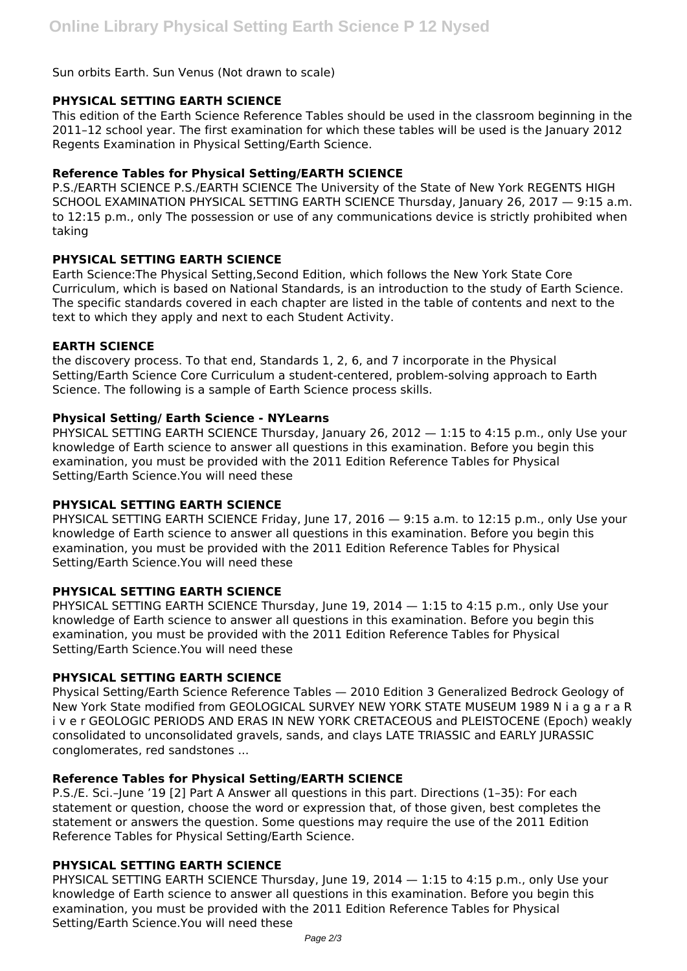## Sun orbits Earth. Sun Venus (Not drawn to scale)

### **PHYSICAL SETTING EARTH SCIENCE**

This edition of the Earth Science Reference Tables should be used in the classroom beginning in the 2011–12 school year. The first examination for which these tables will be used is the January 2012 Regents Examination in Physical Setting/Earth Science.

## **Reference Tables for Physical Setting/EARTH SCIENCE**

P.S./EARTH SCIENCE P.S./EARTH SCIENCE The University of the State of New York REGENTS HIGH SCHOOL EXAMINATION PHYSICAL SETTING EARTH SCIENCE Thursday, January 26, 2017 — 9:15 a.m. to 12:15 p.m., only The possession or use of any communications device is strictly prohibited when taking

## **PHYSICAL SETTING EARTH SCIENCE**

Earth Science:The Physical Setting,Second Edition, which follows the New York State Core Curriculum, which is based on National Standards, is an introduction to the study of Earth Science. The specific standards covered in each chapter are listed in the table of contents and next to the text to which they apply and next to each Student Activity.

#### **EARTH SCIENCE**

the discovery process. To that end, Standards 1, 2, 6, and 7 incorporate in the Physical Setting/Earth Science Core Curriculum a student-centered, problem-solving approach to Earth Science. The following is a sample of Earth Science process skills.

#### **Physical Setting/ Earth Science - NYLearns**

PHYSICAL SETTING EARTH SCIENCE Thursday, January 26, 2012 — 1:15 to 4:15 p.m., only Use your knowledge of Earth science to answer all questions in this examination. Before you begin this examination, you must be provided with the 2011 Edition Reference Tables for Physical Setting/Earth Science.You will need these

#### **PHYSICAL SETTING EARTH SCIENCE**

PHYSICAL SETTING EARTH SCIENCE Friday, June 17, 2016 — 9:15 a.m. to 12:15 p.m., only Use your knowledge of Earth science to answer all questions in this examination. Before you begin this examination, you must be provided with the 2011 Edition Reference Tables for Physical Setting/Earth Science.You will need these

#### **PHYSICAL SETTING EARTH SCIENCE**

PHYSICAL SETTING EARTH SCIENCE Thursday, June 19, 2014 — 1:15 to 4:15 p.m., only Use your knowledge of Earth science to answer all questions in this examination. Before you begin this examination, you must be provided with the 2011 Edition Reference Tables for Physical Setting/Earth Science.You will need these

#### **PHYSICAL SETTING EARTH SCIENCE**

Physical Setting/Earth Science Reference Tables — 2010 Edition 3 Generalized Bedrock Geology of New York State modified from GEOLOGICAL SURVEY NEW YORK STATE MUSEUM 1989 N i a g a r a R i v e r GEOLOGIC PERIODS AND ERAS IN NEW YORK CRETACEOUS and PLEISTOCENE (Epoch) weakly consolidated to unconsolidated gravels, sands, and clays LATE TRIASSIC and EARLY JURASSIC conglomerates, red sandstones ...

#### **Reference Tables for Physical Setting/EARTH SCIENCE**

P.S./E. Sci.–June '19 [2] Part A Answer all questions in this part. Directions (1–35): For each statement or question, choose the word or expression that, of those given, best completes the statement or answers the question. Some questions may require the use of the 2011 Edition Reference Tables for Physical Setting/Earth Science.

## **PHYSICAL SETTING EARTH SCIENCE**

PHYSICAL SETTING EARTH SCIENCE Thursday, June 19, 2014 — 1:15 to 4:15 p.m., only Use your knowledge of Earth science to answer all questions in this examination. Before you begin this examination, you must be provided with the 2011 Edition Reference Tables for Physical Setting/Earth Science.You will need these